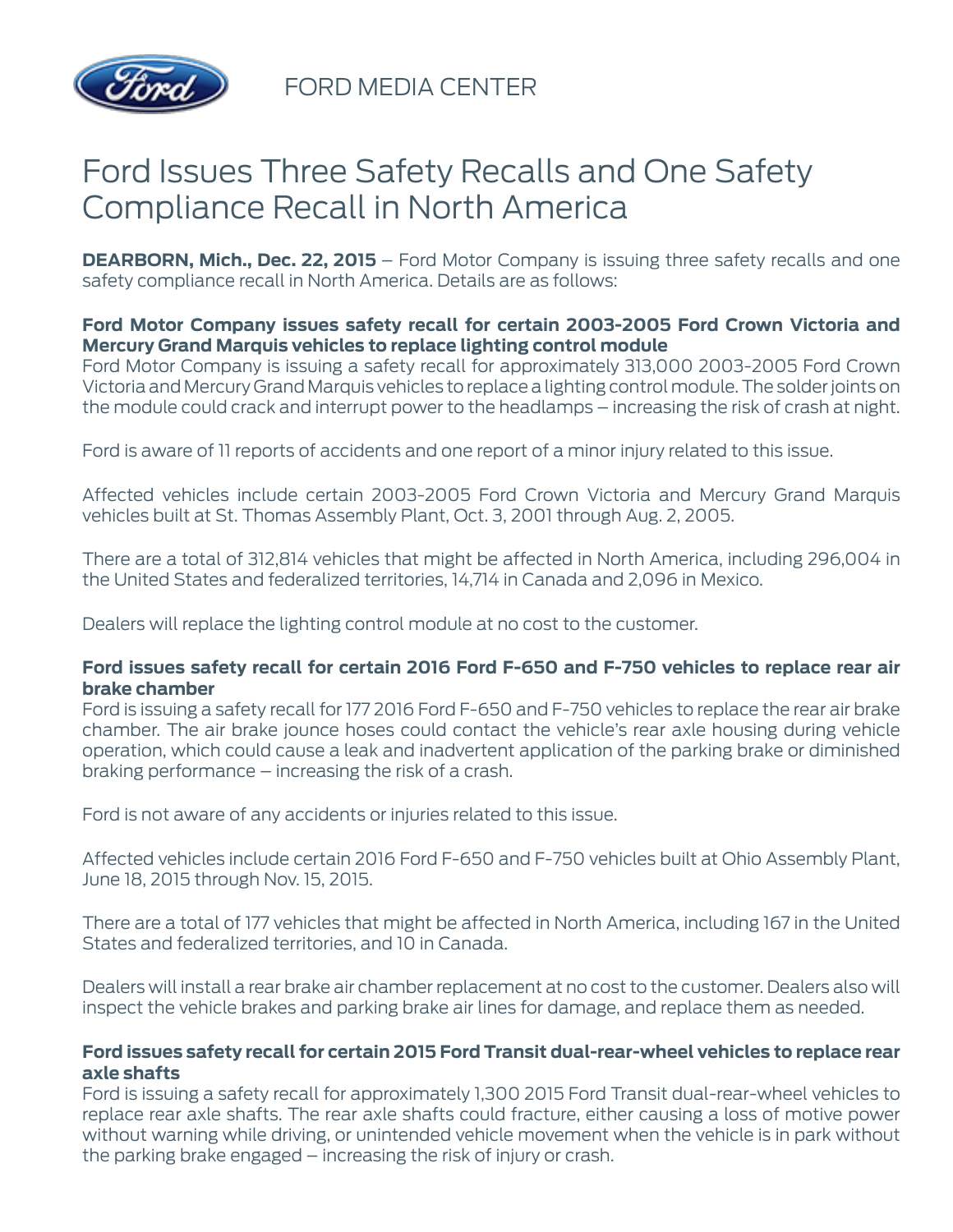

FORD MEDIA CENTER

# Ford Issues Three Safety Recalls and One Safety Compliance Recall in North America

**DEARBORN, Mich., Dec. 22, 2015** – Ford Motor Company is issuing three safety recalls and one safety compliance recall in North America. Details are as follows:

## **Ford Motor Company issues safety recall for certain 2003-2005 Ford Crown Victoria and Mercury Grand Marquis vehicles to replace lighting control module**

Ford Motor Company is issuing a safety recall for approximately 313,000 2003-2005 Ford Crown Victoria and Mercury Grand Marquis vehicles to replace a lighting control module. The solder joints on the module could crack and interrupt power to the headlamps – increasing the risk of crash at night.

Ford is aware of 11 reports of accidents and one report of a minor injury related to this issue.

Affected vehicles include certain 2003-2005 Ford Crown Victoria and Mercury Grand Marquis vehicles built at St. Thomas Assembly Plant, Oct. 3, 2001 through Aug. 2, 2005.

There are a total of 312,814 vehicles that might be affected in North America, including 296,004 in the United States and federalized territories, 14,714 in Canada and 2,096 in Mexico.

Dealers will replace the lighting control module at no cost to the customer.

#### **Ford issues safety recall for certain 2016 Ford F-650 and F-750 vehicles to replace rear air brake chamber**

Ford is issuing a safety recall for 177 2016 Ford F-650 and F-750 vehicles to replace the rear air brake chamber. The air brake jounce hoses could contact the vehicle's rear axle housing during vehicle operation, which could cause a leak and inadvertent application of the parking brake or diminished braking performance – increasing the risk of a crash.

Ford is not aware of any accidents or injuries related to this issue.

Affected vehicles include certain 2016 Ford F-650 and F-750 vehicles built at Ohio Assembly Plant, June 18, 2015 through Nov. 15, 2015.

There are a total of 177 vehicles that might be affected in North America, including 167 in the United States and federalized territories, and 10 in Canada.

Dealers will install a rear brake air chamber replacement at no cost to the customer. Dealers also will inspect the vehicle brakes and parking brake air lines for damage, and replace them as needed.

#### **Ford issues safety recall for certain 2015 Ford Transit dual-rear-wheel vehicles to replace rear axle shafts**

Ford is issuing a safety recall for approximately 1,300 2015 Ford Transit dual-rear-wheel vehicles to replace rear axle shafts. The rear axle shafts could fracture, either causing a loss of motive power without warning while driving, or unintended vehicle movement when the vehicle is in park without the parking brake engaged – increasing the risk of injury or crash.